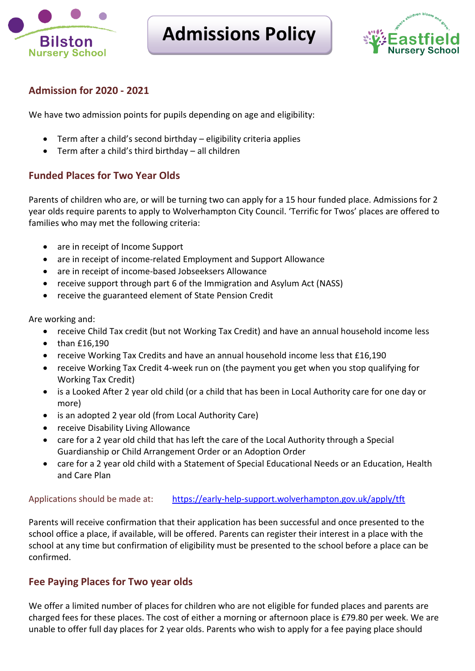

# **Admissions Policy**



# **Admission for 2020 - 2021**

We have two admission points for pupils depending on age and eligibility:

- Term after a child's second birthday eligibility criteria applies
- Term after a child's third birthday all children

# **Funded Places for Two Year Olds**

Parents of children who are, or will be turning two can apply for a 15 hour funded place. Admissions for 2 year olds require parents to apply to Wolverhampton City Council. 'Terrific for Twos' places are offered to families who may met the following criteria:

- are in receipt of Income Support
- are in receipt of income-related Employment and Support Allowance
- are in receipt of income-based Jobseeksers Allowance
- receive support through part 6 of the Immigration and Asylum Act (NASS)
- receive the guaranteed element of State Pension Credit

Are working and:

- receive Child Tax credit (but not Working Tax Credit) and have an annual household income less
- $\bullet$  than £16,190
- receive Working Tax Credits and have an annual household income less that £16,190
- receive Working Tax Credit 4-week run on (the payment you get when you stop qualifying for Working Tax Credit)
- is a Looked After 2 year old child (or a child that has been in Local Authority care for one day or more)
- is an adopted 2 year old (from Local Authority Care)
- receive Disability Living Allowance
- care for a 2 year old child that has left the care of the Local Authority through a Special Guardianship or Child Arrangement Order or an Adoption Order
- care for a 2 year old child with a Statement of Special Educational Needs or an Education, Health and Care Plan

#### Applications should be made at: <https://early-help-support.wolverhampton.gov.uk/apply/tft>

Parents will receive confirmation that their application has been successful and once presented to the school office a place, if available, will be offered. Parents can register their interest in a place with the school at any time but confirmation of eligibility must be presented to the school before a place can be confirmed.

# **Fee Paying Places for Two year olds**

We offer a limited number of places for children who are not eligible for funded places and parents are charged fees for these places. The cost of either a morning or afternoon place is £79.80 per week. We are unable to offer full day places for 2 year olds. Parents who wish to apply for a fee paying place should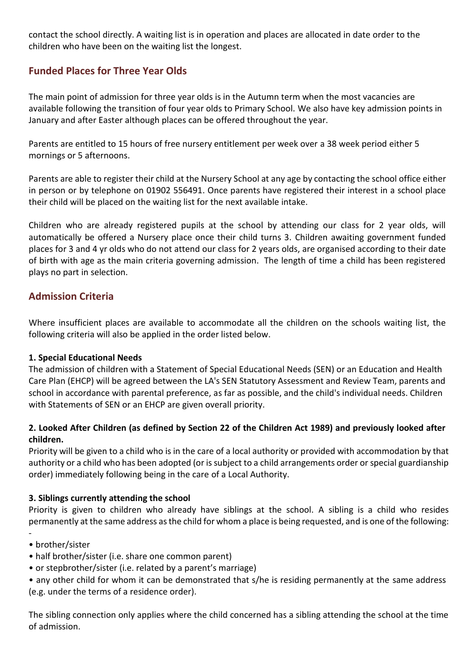contact the school directly. A waiting list is in operation and places are allocated in date order to the children who have been on the waiting list the longest.

# **Funded Places for Three Year Olds**

The main point of admission for three year olds is in the Autumn term when the most vacancies are available following the transition of four year olds to Primary School. We also have key admission points in January and after Easter although places can be offered throughout the year.

Parents are entitled to 15 hours of free nursery entitlement per week over a 38 week period either 5 mornings or 5 afternoons.

Parents are able to register their child at the Nursery School at any age by contacting the school office either in person or by telephone on 01902 556491. Once parents have registered their interest in a school place their child will be placed on the waiting list for the next available intake.

Children who are already registered pupils at the school by attending our class for 2 year olds, will automatically be offered a Nursery place once their child turns 3. Children awaiting government funded places for 3 and 4 yr olds who do not attend our class for 2 years olds, are organised according to their date of birth with age as the main criteria governing admission. The length of time a child has been registered plays no part in selection.

## **Admission Criteria**

Where insufficient places are available to accommodate all the children on the schools waiting list, the following criteria will also be applied in the order listed below.

#### **1. Special Educational Needs**

The admission of children with a Statement of Special Educational Needs (SEN) or an Education and Health Care Plan (EHCP) will be agreed between the LA's SEN Statutory Assessment and Review Team, parents and school in accordance with parental preference, as far as possible, and the child's individual needs. Children with Statements of SEN or an EHCP are given overall priority.

#### **2. Looked After Children (as defined by Section 22 of the Children Act 1989) and previously looked after children.**

Priority will be given to a child who is in the care of a local authority or provided with accommodation by that authority or a child who has been adopted (or is subject to a child arrangements order or special guardianship order) immediately following being in the care of a Local Authority.

## **3. Siblings currently attending the school**

Priority is given to children who already have siblings at the school. A sibling is a child who resides permanently at the same address as the child for whom a place is being requested, and is one of the following:

- • brother/sister
- half brother/sister (i.e. share one common parent)
- or stepbrother/sister (i.e. related by a parent's marriage)
- any other child for whom it can be demonstrated that s/he is residing permanently at the same address (e.g. under the terms of a residence order).

The sibling connection only applies where the child concerned has a sibling attending the school at the time of admission.